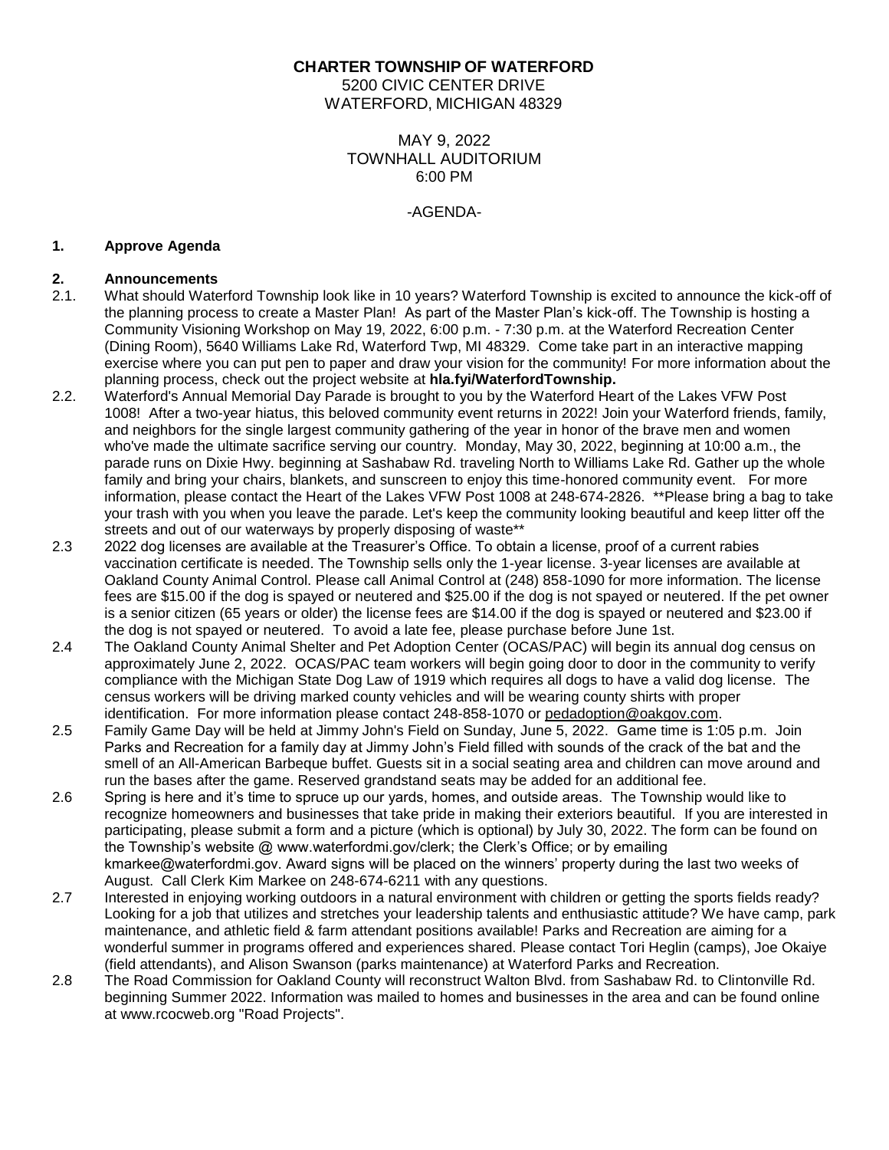# **CHARTER TOWNSHIP OF WATERFORD**

5200 CIVIC CENTER DRIVE WATERFORD, MICHIGAN 48329

# MAY 9, 2022 TOWNHALL AUDITORIUM 6:00 PM

## -AGENDA-

## **1. Approve Agenda**

## **2. Announcements**

- 2.1. What should Waterford Township look like in 10 years? Waterford Township is excited to announce the kick-off of the planning process to create a Master Plan! As part of the Master Plan's kick-off. The Township is hosting a Community Visioning Workshop on May 19, 2022, 6:00 p.m. - 7:30 p.m. at the Waterford Recreation Center (Dining Room), 5640 Williams Lake Rd, Waterford Twp, MI 48329. Come take part in an interactive mapping exercise where you can put pen to paper and draw your vision for the community! For more information about the planning process, check out the project website at **hla.fyi/WaterfordTownship.**
- 2.2. Waterford's Annual Memorial Day Parade is brought to you by the Waterford Heart of the Lakes VFW Post 1008! After a two-year hiatus, this beloved community event returns in 2022! Join your Waterford friends, family, and neighbors for the single largest community gathering of the year in honor of the brave men and women who've made the ultimate sacrifice serving our country. Monday, May 30, 2022, beginning at 10:00 a.m., the parade runs on Dixie Hwy. beginning at Sashabaw Rd. traveling North to Williams Lake Rd. Gather up the whole family and bring your chairs, blankets, and sunscreen to enjoy this time-honored community event. For more information, please contact the Heart of the Lakes VFW Post 1008 at 248-674-2826. \*\*Please bring a bag to take your trash with you when you leave the parade. Let's keep the community looking beautiful and keep litter off the streets and out of our waterways by properly disposing of waste\*\*
- 2.3 2022 dog licenses are available at the Treasurer's Office. To obtain a license, proof of a current rabies vaccination certificate is needed. The Township sells only the 1-year license. 3-year licenses are available at Oakland County Animal Control. Please call Animal Control at (248) 858-1090 for more information. The license fees are \$15.00 if the dog is spayed or neutered and \$25.00 if the dog is not spayed or neutered. If the pet owner is a senior citizen (65 years or older) the license fees are \$14.00 if the dog is spayed or neutered and \$23.00 if the dog is not spayed or neutered. To avoid a late fee, please purchase before June 1st.
- 2.4 The Oakland County Animal Shelter and Pet Adoption Center (OCAS/PAC) will begin its annual dog census on approximately June 2, 2022. OCAS/PAC team workers will begin going door to door in the community to verify compliance with the Michigan State Dog Law of 1919 which requires all dogs to have a valid dog license. The census workers will be driving marked county vehicles and will be wearing county shirts with proper identification. For more information please contact 248-858-1070 or [pedadoption@oakgov.com.](mailto:pedadoption@oakgov.com)
- 2.5 Family Game Day will be held at Jimmy John's Field on Sunday, June 5, 2022. Game time is 1:05 p.m. Join Parks and Recreation for a family day at Jimmy John's Field filled with sounds of the crack of the bat and the smell of an All-American Barbeque buffet. Guests sit in a social seating area and children can move around and run the bases after the game. Reserved grandstand seats may be added for an additional fee.
- 2.6 Spring is here and it's time to spruce up our yards, homes, and outside areas. The Township would like to recognize homeowners and businesses that take pride in making their exteriors beautiful. If you are interested in participating, please submit a form and a picture (which is optional) by July 30, 2022. The form can be found on the Township's website @ www.waterfordmi.gov/clerk; the Clerk's Office; or by emailing kmarkee@waterfordmi.gov. Award signs will be placed on the winners' property during the last two weeks of August. Call Clerk Kim Markee on 248-674-6211 with any questions.
- 2.7 Interested in enjoying working outdoors in a natural environment with children or getting the sports fields ready? Looking for a job that utilizes and stretches your leadership talents and enthusiastic attitude? We have camp, park maintenance, and athletic field & farm attendant positions available! Parks and Recreation are aiming for a wonderful summer in programs offered and experiences shared. Please contact Tori Heglin (camps), Joe Okaiye (field attendants), and Alison Swanson (parks maintenance) at Waterford Parks and Recreation.
- 2.8 The Road Commission for Oakland County will reconstruct Walton Blvd. from Sashabaw Rd. to Clintonville Rd. beginning Summer 2022. Information was mailed to homes and businesses in the area and can be found online at www.rcocweb.org "Road Projects".